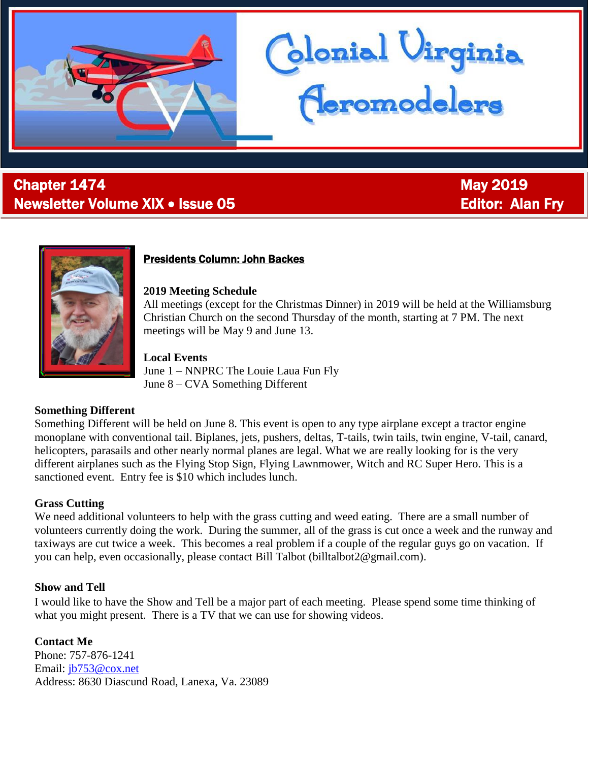

# **Chapter 1474** May 2019 Newsletter Volume XIX • Issue 05 Editor: Alan Fry



j

# Presidents Column: John Backes

#### **2019 Meeting Schedule**

All meetings (except for the Christmas Dinner) in 2019 will be held at the Williamsburg Christian Church on the second Thursday of the month, starting at 7 PM. The next meetings will be May 9 and June 13.

donial Virginia<br><del>(Ieromodelers</del>

### **Local Events**

June 1 – NNPRC The Louie Laua Fun Fly June 8 – CVA Something Different

### **Something Different**

Something Different will be held on June 8. This event is open to any type airplane except a tractor engine monoplane with conventional tail. Biplanes, jets, pushers, deltas, T-tails, twin tails, twin engine, V-tail, canard, helicopters, parasails and other nearly normal planes are legal. What we are really looking for is the very different airplanes such as the Flying Stop Sign, Flying Lawnmower, Witch and RC Super Hero. This is a sanctioned event. Entry fee is \$10 which includes lunch.

### **Grass Cutting**

We need additional volunteers to help with the grass cutting and weed eating. There are a small number of volunteers currently doing the work. During the summer, all of the grass is cut once a week and the runway and taxiways are cut twice a week. This becomes a real problem if a couple of the regular guys go on vacation. If you can help, even occasionally, please contact Bill Talbot (billtalbot2@gmail.com).

### **Show and Tell**

I would like to have the Show and Tell be a major part of each meeting. Please spend some time thinking of what you might present. There is a TV that we can use for showing videos.

**Contact Me** Phone: 757-876-1241 Email: [jb753@cox.net](mailto:jb753@cox.net) Address: 8630 Diascund Road, Lanexa, Va. 23089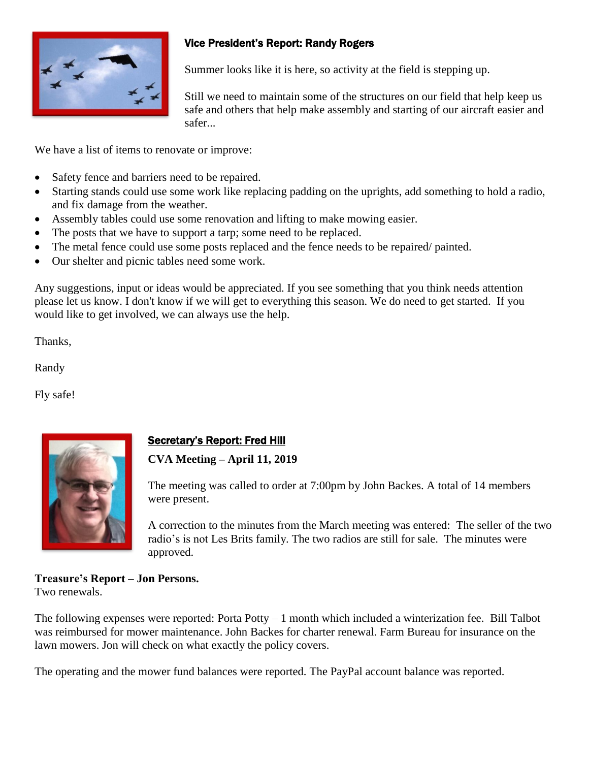

# Vice President's Report: Randy Rogers

Summer looks like it is here, so activity at the field is stepping up.

Still we need to maintain some of the structures on our field that help keep us safe and others that help make assembly and starting of our aircraft easier and safer...

We have a list of items to renovate or improve:

- Safety fence and barriers need to be repaired.
- Starting stands could use some work like replacing padding on the uprights, add something to hold a radio, and fix damage from the weather.
- Assembly tables could use some renovation and lifting to make mowing easier.
- The posts that we have to support a tarp; some need to be replaced.
- The metal fence could use some posts replaced and the fence needs to be repaired/ painted.
- Our shelter and picnic tables need some work.

Any suggestions, input or ideas would be appreciated. If you see something that you think needs attention please let us know. I don't know if we will get to everything this season. We do need to get started. If you would like to get involved, we can always use the help.

Thanks,

Randy

Fly safe!



# Secretary's Report: Fred Hill

## **CVA Meeting – April 11, 2019**

The meeting was called to order at 7:00pm by John Backes. A total of 14 members were present.

A correction to the minutes from the March meeting was entered: The seller of the two radio's is not Les Brits family. The two radios are still for sale. The minutes were approved.

# **Treasure's Report – Jon Persons.**

Two renewals.

The following expenses were reported: Porta Potty – 1 month which included a winterization fee. Bill Talbot was reimbursed for mower maintenance. John Backes for charter renewal. Farm Bureau for insurance on the lawn mowers. Jon will check on what exactly the policy covers.

The operating and the mower fund balances were reported. The PayPal account balance was reported.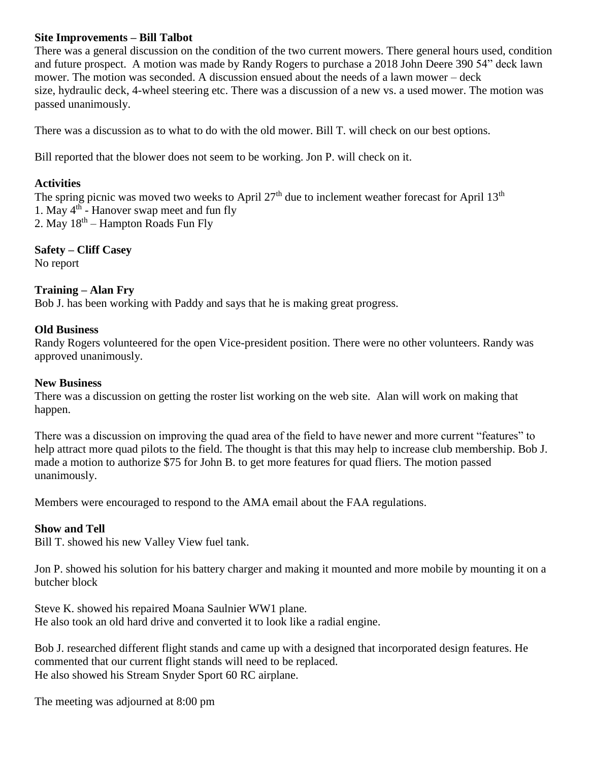## **Site Improvements – Bill Talbot**

There was a general discussion on the condition of the two current mowers. There general hours used, condition and future prospect. A motion was made by Randy Rogers to purchase a 2018 John Deere 390 54" deck lawn mower. The motion was seconded. A discussion ensued about the needs of a lawn mower – deck size, hydraulic deck, 4-wheel steering etc. There was a discussion of a new vs. a used mower. The motion was passed unanimously.

There was a discussion as to what to do with the old mower. Bill T. will check on our best options.

Bill reported that the blower does not seem to be working. Jon P. will check on it.

## **Activities**

The spring picnic was moved two weeks to April  $27<sup>th</sup>$  due to inclement weather forecast for April  $13<sup>th</sup>$ 1. May 4<sup>th</sup> - Hanover swap meet and fun fly 2. May  $18^{th}$  – Hampton Roads Fun Fly

**Safety – Cliff Casey** No report

## **Training – Alan Fry**

Bob J. has been working with Paddy and says that he is making great progress.

### **Old Business**

Randy Rogers volunteered for the open Vice-president position. There were no other volunteers. Randy was approved unanimously.

### **New Business**

There was a discussion on getting the roster list working on the web site. Alan will work on making that happen.

There was a discussion on improving the quad area of the field to have newer and more current "features" to help attract more quad pilots to the field. The thought is that this may help to increase club membership. Bob J. made a motion to authorize \$75 for John B. to get more features for quad fliers. The motion passed unanimously.

Members were encouraged to respond to the AMA email about the FAA regulations.

## **Show and Tell**

Bill T. showed his new Valley View fuel tank.

Jon P. showed his solution for his battery charger and making it mounted and more mobile by mounting it on a butcher block

Steve K. showed his repaired Moana Saulnier WW1 plane. He also took an old hard drive and converted it to look like a radial engine.

Bob J. researched different flight stands and came up with a designed that incorporated design features. He commented that our current flight stands will need to be replaced. He also showed his Stream Snyder Sport 60 RC airplane.

The meeting was adjourned at 8:00 pm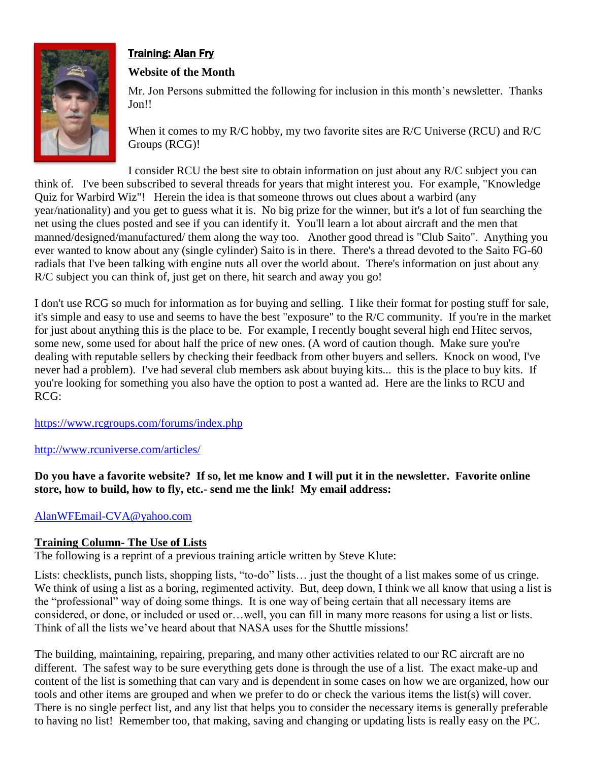

# Training: Alan Fry

# **Website of the Month**

Mr. Jon Persons submitted the following for inclusion in this month's newsletter. Thanks Jon!!

When it comes to my R/C hobby, my two favorite sites are R/C Universe (RCU) and R/C Groups (RCG)!

I consider RCU the best site to obtain information on just about any R/C subject you can think of. I've been subscribed to several threads for years that might interest you. For example, "Knowledge Quiz for Warbird Wiz"! Herein the idea is that someone throws out clues about a warbird (any year/nationality) and you get to guess what it is. No big prize for the winner, but it's a lot of fun searching the net using the clues posted and see if you can identify it. You'll learn a lot about aircraft and the men that manned/designed/manufactured/ them along the way too. Another good thread is "Club Saito". Anything you ever wanted to know about any (single cylinder) Saito is in there. There's a thread devoted to the Saito FG-60 radials that I've been talking with engine nuts all over the world about. There's information on just about any R/C subject you can think of, just get on there, hit search and away you go!

I don't use RCG so much for information as for buying and selling. I like their format for posting stuff for sale, it's simple and easy to use and seems to have the best "exposure" to the R/C community. If you're in the market for just about anything this is the place to be. For example, I recently bought several high end Hitec servos, some new, some used for about half the price of new ones. (A word of caution though. Make sure you're dealing with reputable sellers by checking their feedback from other buyers and sellers. Knock on wood, I've never had a problem). I've had several club members ask about buying kits... this is the place to buy kits. If you're looking for something you also have the option to post a wanted ad. Here are the links to RCU and RCG:

<https://www.rcgroups.com/forums/index.php>

<http://www.rcuniverse.com/articles/>

**Do you have a favorite website? If so, let me know and I will put it in the newsletter. Favorite online store, how to build, how to fly, etc.- send me the link! My email address:**

[AlanWFEmail-CVA@yahoo.com](mailto:AlanWFEmail-CVA@yahoo.com)

# **Training Column- The Use of Lists**

The following is a reprint of a previous training article written by Steve Klute:

Lists: checklists, punch lists, shopping lists, "to-do" lists... just the thought of a list makes some of us cringe. We think of using a list as a boring, regimented activity. But, deep down, I think we all know that using a list is the "professional" way of doing some things. It is one way of being certain that all necessary items are considered, or done, or included or used or…well, you can fill in many more reasons for using a list or lists. Think of all the lists we've heard about that NASA uses for the Shuttle missions!

The building, maintaining, repairing, preparing, and many other activities related to our RC aircraft are no different. The safest way to be sure everything gets done is through the use of a list. The exact make-up and content of the list is something that can vary and is dependent in some cases on how we are organized, how our tools and other items are grouped and when we prefer to do or check the various items the list(s) will cover. There is no single perfect list, and any list that helps you to consider the necessary items is generally preferable to having no list! Remember too, that making, saving and changing or updating lists is really easy on the PC.